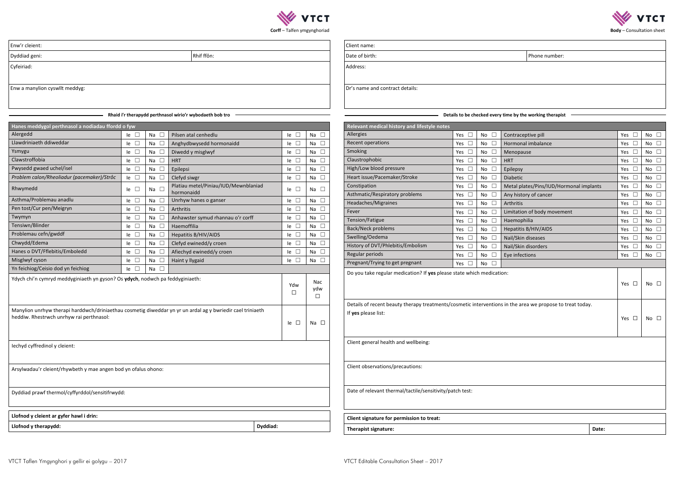

| hone number: |  |
|--------------|--|
|              |  |

Client name:

Date of birth:

Address:

Dr's name and contract details:

**Details to be checked every time by the working therapist**

| Relevant medical history and lifestyle notes                                                                                     |                     |               |                                         |               |                |
|----------------------------------------------------------------------------------------------------------------------------------|---------------------|---------------|-----------------------------------------|---------------|----------------|
| Allergies                                                                                                                        | Yes $\square$       | $\Box$<br>No  | Contraceptive pill                      | $\Box$<br>Yes | No $\square$   |
| Recent operations                                                                                                                | Yes<br>$\Box$       | $\Box$<br>No. | Hormonal imbalance                      | Yes<br>$\Box$ | No<br>$\Box$   |
| Smoking                                                                                                                          | Yes<br>⊔            | $\Box$<br>No  | Menopause                               | Yes<br>$\Box$ | No $\square$   |
| Claustrophobic                                                                                                                   | Yes $\square$       | $\Box$<br>No  | <b>HRT</b>                              | $\Box$<br>Yes | $\Box$<br>No   |
| High/Low blood pressure                                                                                                          | $\Box$<br>Yes       | $\Box$<br>No. | Epilepsy                                | $\Box$<br>Yes | No<br>$\Box$   |
| Heart issue/Pacemaker/Stroke                                                                                                     | Yes<br>$\Box$       | $\Box$<br>No  | Diabetic                                | $\Box$<br>Yes | $\Box$<br>No   |
| Constipation                                                                                                                     | $\Box$<br>Yes       | $\Box$<br>No. | Metal plates/Pins/IUD/Hormonal implants | $\Box$<br>Yes | П<br>No        |
| Asthmatic/Respiratory problems                                                                                                   | $\Box$<br>Yes       | $\Box$<br>No. | Any history of cancer                   | Yes<br>$\Box$ | No.<br>$\perp$ |
| Headaches/Migraines                                                                                                              | Yes $\square$       | $\Box$<br>No. | Arthritis                               | Yes<br>$\Box$ | No<br>$\Box$   |
| Fever                                                                                                                            | Yes $\square$       | $\Box$<br>No  | Limitation of body movement             | $\Box$<br>Yes | $\Box$<br>No.  |
| Tension/Fatigue                                                                                                                  | $\Box$<br>Yes       | $\Box$<br>No  | Haemophilia                             | $\Box$<br>Yes | No<br>$\Box$   |
| Back/Neck problems                                                                                                               | Yes<br>$\Box$       | $\Box$<br>No  | Hepatitis B/HIV/AIDS                    | $\Box$<br>Yes | $\Box$<br>No   |
| Swelling/Oedema                                                                                                                  | Yes $\square$       | $\Box$<br>No  | Nail/Skin diseases                      | Yes $\square$ | $\Box$<br>No   |
| History of DVT/Phlebitis/Embolism                                                                                                | П<br>Yes            | $\Box$<br>No  | Nail/Skin disorders                     | П<br>Yes      | П<br>No        |
| Regular periods                                                                                                                  | Yes<br>$\mathbf{1}$ | $\Box$<br>No. | Eye infections                          | П<br>Yes      | No<br>$\Box$   |
| Pregnant/Trying to get pregnant                                                                                                  | Yes                 | No.<br>П      |                                         |               |                |
| Do you take regular medication? If yes please state which medication:                                                            |                     |               |                                         | Yes $\Box$    | No $\square$   |
| Details of recent beauty therapy treatments/cosmetic interventions in the area we propose to treat today.<br>If yes please list: |                     |               |                                         | Yes $\square$ | No $\square$   |
| Client general health and wellbeing:                                                                                             |                     |               |                                         |               |                |
| Client observations/precautions:                                                                                                 |                     |               |                                         |               |                |
| Date of relevant thermal/tactile/sensitivity/patch test:                                                                         |                     |               |                                         |               |                |

| Relevant medical history and lifestyle notes                                                              |               |              |                                         |       |               |               |
|-----------------------------------------------------------------------------------------------------------|---------------|--------------|-----------------------------------------|-------|---------------|---------------|
| Allergies                                                                                                 | $\Box$<br>Yes | $\Box$<br>No | Contraceptive pill                      |       | Yes           | $\Box$<br>No  |
| Recent operations                                                                                         | $\Box$<br>Yes | П<br>No      | Hormonal imbalance                      |       | Yes           | No<br>$\Box$  |
| Smoking                                                                                                   | $\Box$<br>Yes | No<br>$\Box$ | Menopause                               |       | $\Box$<br>Yes | $\Box$<br>No  |
| Claustrophobic                                                                                            | $\Box$<br>Yes | $\Box$<br>No | <b>HRT</b>                              |       | П<br>Yes      | No<br>$\Box$  |
| High/Low blood pressure                                                                                   | $\Box$<br>Yes | No<br>$\Box$ | Epilepsy                                |       | $\Box$<br>Yes | $\Box$<br>No  |
| Heart issue/Pacemaker/Stroke                                                                              | $\Box$<br>Yes | $\Box$<br>No | Diabetic                                |       | $\Box$<br>Yes | $\Box$<br>No  |
| Constipation                                                                                              | $\Box$<br>Yes | $\Box$<br>No | Metal plates/Pins/IUD/Hormonal implants |       | $\Box$<br>Yes | $\Box$<br>No  |
| Asthmatic/Respiratory problems                                                                            | $\Box$<br>Yes | $\Box$<br>No | Any history of cancer                   |       | Yes<br>Ш      | $\Box$<br>No  |
| Headaches/Migraines                                                                                       | $\Box$<br>Yes | $\Box$<br>No | Arthritis                               |       | Yes<br>ш      | $\Box$<br>No  |
| Fever                                                                                                     | $\Box$<br>Yes | $\Box$<br>No | Limitation of body movement             |       | Yes           | $\Box$<br>No  |
| Tension/Fatigue                                                                                           | $\Box$<br>Yes | No<br>$\Box$ | Haemophilia                             |       | Yes           | $\Box$<br>No  |
| <b>Back/Neck problems</b>                                                                                 | $\Box$<br>Yes | No<br>$\Box$ | Hepatitis B/HIV/AIDS                    |       | Yes           | $\Box$<br>No  |
| Swelling/Oedema                                                                                           | $\Box$<br>Yes | П<br>No      | Nail/Skin diseases                      |       | Yes           | $\Box$<br>No  |
| History of DVT/Phlebitis/Embolism                                                                         | $\Box$<br>Yes | No<br>$\Box$ | Nail/Skin disorders                     |       | Yes           | No<br>П       |
| Regular periods                                                                                           | Yes $\square$ | No<br>ш      | Eye infections                          |       | Yes           | $\Box$<br>No  |
| Pregnant/Trying to get pregnant                                                                           | Yes<br>⊔      | No<br>П      |                                         |       |               |               |
| Do you take regular medication? If yes please state which medication:                                     |               |              |                                         |       | Yes $\Box$    | No<br>$\Box$  |
| Details of recent beauty therapy treatments/cosmetic interventions in the area we propose to treat today. |               |              |                                         |       |               |               |
| If yes please list:                                                                                       |               |              |                                         |       | Yes $\Box$    | $\Box$<br>No. |
| Client general health and wellbeing:                                                                      |               |              |                                         |       |               |               |
| Client observations/precautions:                                                                          |               |              |                                         |       |               |               |
| Date of relevant thermal/tactile/sensitivity/patch test:                                                  |               |              |                                         |       |               |               |
| Client signature for permission to treat:                                                                 |               |              |                                         |       |               |               |
| Therapist signature:                                                                                      |               |              |                                         | Date: |               |               |



**Corff** – Talfen ymgynghoriad

Enw'r cleient:

**Dyddiad geni:** Rhif ffôn:

| Enw a manylion cyswllt meddyg:                                                                                                                         |              |              |                                                          |               |                      |
|--------------------------------------------------------------------------------------------------------------------------------------------------------|--------------|--------------|----------------------------------------------------------|---------------|----------------------|
|                                                                                                                                                        |              |              | Rhaid i'r therapydd perthnasol wirio'r wybodaeth bob tro |               |                      |
| Hanes meddygol perthnasol a nodiadau ffordd o fyw                                                                                                      |              |              |                                                          |               |                      |
| Alergedd                                                                                                                                               | $\Box$<br>١e | $\Box$<br>Na | Pilsen atal cenhedlu                                     | $\Box$<br>le  | $\Box$<br>Na         |
| Llawdriniaeth ddiweddar                                                                                                                                | $\Box$<br>le | $\Box$<br>Na | Anghydbwysedd hormonaidd                                 | $\Box$<br>le  | □<br>Na              |
| Ysmygu                                                                                                                                                 | $\Box$<br>le | $\Box$<br>Na | Diwedd y misglwyf                                        | $\Box$<br>le  | $\Box$<br>Na         |
| Clawstroffobia                                                                                                                                         | $\Box$<br>le | $\Box$<br>Na | <b>HRT</b>                                               | $\Box$<br>le  | $\Box$<br>Na         |
| Pwysedd gwaed uchel/isel                                                                                                                               | $\Box$<br>le | $\Box$<br>Na | Epilepsi                                                 | $\Box$<br>le  | $\Box$<br>Na         |
| Problem calon/Rheoliadur (pacemaker)/Strôc                                                                                                             | $\Box$<br>le | $\Box$<br>Na | Clefyd siwgr                                             | $\Box$<br>١e  | $\Box$<br>Na         |
| Rhwymedd                                                                                                                                               | $\Box$<br>le | $\Box$<br>Na | Platiau metel/Piniau/IUD/Mewnblaniad<br>hormonaidd       | $\Box$<br>le. | $\Box$<br>Na         |
| Asthma/Problemau anadlu                                                                                                                                | $\Box$<br>le | $\Box$<br>Na | Unrhyw hanes o ganser                                    | $\Box$<br>le  | $\Box$<br>Na         |
| Pen tost/Cur pen/Meigryn                                                                                                                               | $\Box$<br>le | $\Box$<br>Na | Arthritis                                                | $\Box$<br>le  | $\Box$<br>Na         |
| Twymyn                                                                                                                                                 | $\Box$<br>le | $\Box$<br>Na | Anhawster symud rhannau o'r corff                        | $\Box$<br>le  | $\Box$<br>Na         |
| Tensiwn/Blinder                                                                                                                                        | $\Box$<br>le | $\Box$<br>Na | Haemoffilia                                              | $\Box$<br>le  | $\Box$<br>Na         |
| Problemau cefn/gwddf                                                                                                                                   | $\Box$<br>le | $\Box$<br>Na | Hepatitis B/HIV/AIDS                                     | $\Box$<br>le  | $\Box$<br>Na         |
| Chwydd/Edema                                                                                                                                           | $\Box$<br>le | $\Box$<br>Na | Clefyd ewinedd/y croen                                   | $\Box$<br>le  | $\Box$<br>Na         |
| Hanes o DVT/Fflebitis/Emboledd                                                                                                                         | $\Box$<br>le | $\Box$<br>Na | Afiechyd ewinedd/y croen                                 | $\Box$<br>le  | □<br>Na              |
| Misglwyf cyson                                                                                                                                         | $\Box$<br>le | $\Box$<br>Na | Haint y llygaid                                          | $\Box$<br>١e  | $\Box$<br>Na         |
| Yn feichiog/Ceisio dod yn feichiog                                                                                                                     | $\Box$<br>le | П<br>Na      |                                                          |               |                      |
| Ydych chi'n cymryd meddyginiaeth yn gyson? Os ydych, nodwch pa feddyginiaeth:                                                                          |              |              |                                                          | Ydw<br>□      | Nac<br>ydw<br>$\Box$ |
| Manylion unrhyw therapi harddwch/driniaethau cosmetig diweddar yn yr un ardal ag y bwriedir cael triniaeth<br>heddiw. Rhestrwch unrhyw rai perthnasol: |              |              |                                                          | $le$ $\Box$   | Na $\square$         |
| lechyd cyffredinol y cleient:                                                                                                                          |              |              |                                                          |               |                      |
| Arsylwadau'r cleient/rhywbeth y mae angen bod yn ofalus ohono:                                                                                         |              |              |                                                          |               |                      |
| Dyddiad prawf thermol/cyffyrddol/sensitifrwydd:                                                                                                        |              |              |                                                          |               |                      |

**Llofnod y therapydd: Dyddiad:**